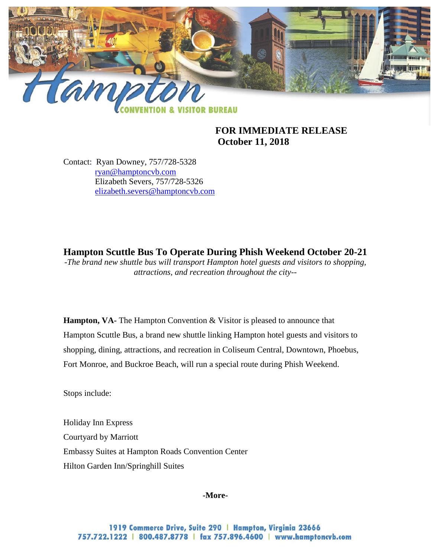

**FOR IMMEDIATE RELEASE October 11, 2018** 

Contact: Ryan Downey, 757/728-5328 [ryan@hamptoncvb.com](mailto:ryan@hamptoncvb.com) Elizabeth Severs, 757/728-5326 [elizabeth.severs@hamptoncvb.com](mailto:elizabeth.severs@hamptoncvb.com)

**Hampton Scuttle Bus To Operate During Phish Weekend October 20-21** *-The brand new shuttle bus will transport Hampton hotel guests and visitors to shopping, attractions, and recreation throughout the city--*

**Hampton, VA-** The Hampton Convention & Visitor is pleased to announce that Hampton Scuttle Bus, a brand new shuttle linking Hampton hotel guests and visitors to shopping, dining, attractions, and recreation in Coliseum Central, Downtown, Phoebus, Fort Monroe, and Buckroe Beach, will run a special route during Phish Weekend.

Stops include:

Holiday Inn Express Courtyard by Marriott Embassy Suites at Hampton Roads Convention Center Hilton Garden Inn/Springhill Suites

## **-More-**

1919 Commerce Drive, Suite 290 | Hampton, Virginia 23666 757.722.1222 | 800.487.8778 | fax 757.896.4600 | www.hamptoncvb.com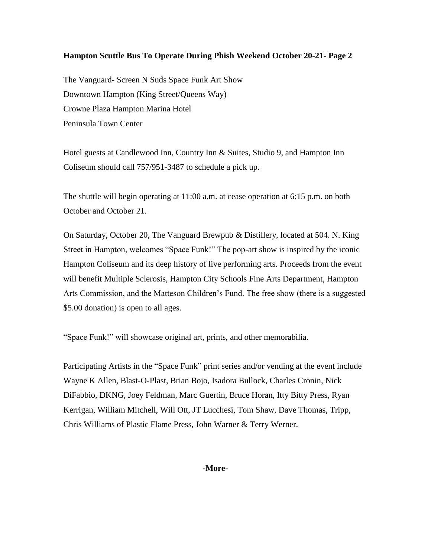## **Hampton Scuttle Bus To Operate During Phish Weekend October 20-21- Page 2**

The Vanguard- Screen N Suds Space Funk Art Show Downtown Hampton (King Street/Queens Way) Crowne Plaza Hampton Marina Hotel Peninsula Town Center

Hotel guests at Candlewood Inn, Country Inn & Suites, Studio 9, and Hampton Inn Coliseum should call 757/951-3487 to schedule a pick up.

The shuttle will begin operating at 11:00 a.m. at cease operation at 6:15 p.m. on both October and October 21.

On Saturday, October 20, The Vanguard Brewpub & Distillery, located at 504. N. King Street in Hampton, welcomes "Space Funk!" The pop-art show is inspired by the iconic Hampton Coliseum and its deep history of live performing arts. Proceeds from the event will benefit Multiple Sclerosis, Hampton City Schools Fine Arts Department, Hampton Arts Commission, and the Matteson Children's Fund. The free show (there is a suggested \$5.00 donation) is open to all ages.

"Space Funk!" will showcase original art, prints, and other memorabilia.

Participating Artists in the "Space Funk" print series and/or vending at the event include Wayne K Allen, Blast-O-Plast, Brian Bojo, Isadora Bullock, Charles Cronin, Nick DiFabbio, DKNG, Joey Feldman, Marc Guertin, Bruce Horan, Itty Bitty Press, Ryan Kerrigan, William Mitchell, Will Ott, JT Lucchesi, Tom Shaw, Dave Thomas, Tripp, Chris Williams of Plastic Flame Press, John Warner & Terry Werner.

**-More-**